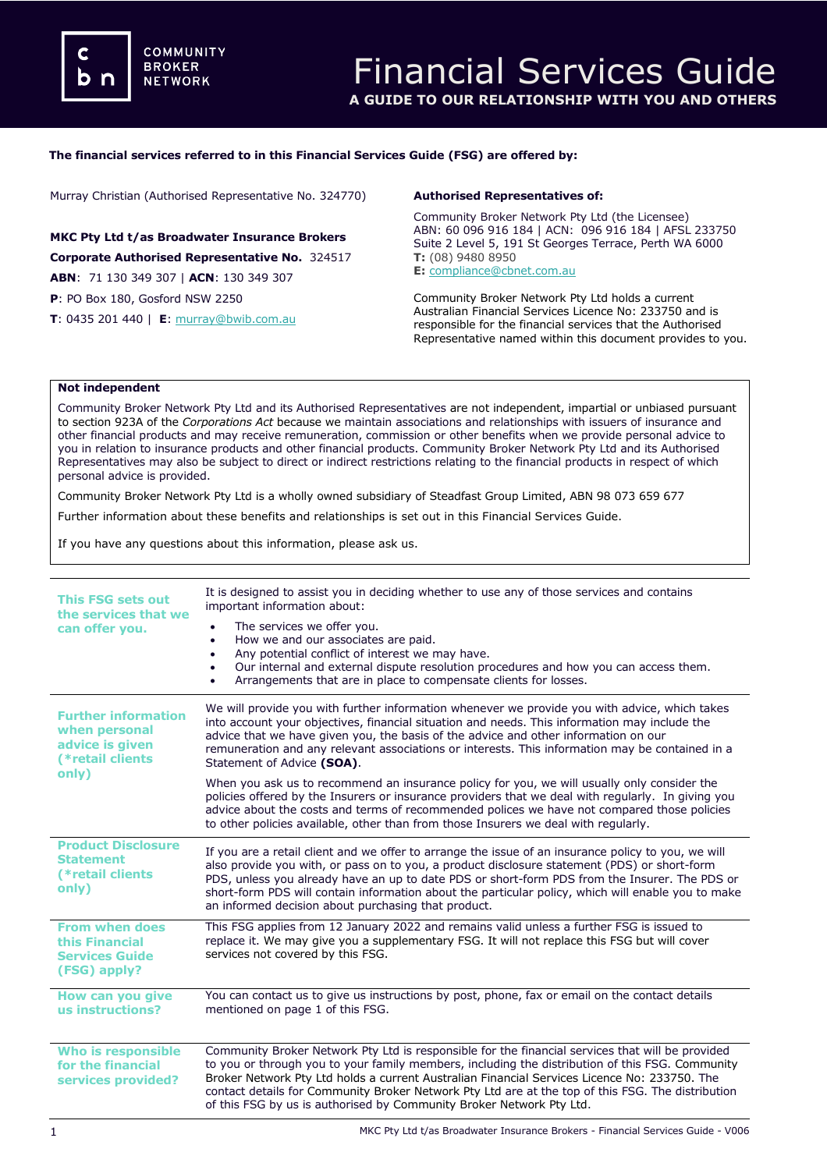## **The financial services referred to in this Financial Services Guide (FSG) are offered by:**

Murray Christian (Authorised Representative No. 324770)

**MKC Pty Ltd t/as Broadwater Insurance Brokers Corporate Authorised Representative No.** 324517 **ABN**: 71 130 349 307 | **ACN**: 130 349 307

**P**: PO Box 180, Gosford NSW 2250

**T**: 0435 201 440 | **E**: [murray@bwib.com.au](mailto:meena@dataprivacyinsurance.com.au)

### **Authorised Representatives of:**

Community Broker Network Pty Ltd (the Licensee) ABN: 60 096 916 184 | ACN: 096 916 184 | AFSL 233750 Suite 2 Level 5, 191 St Georges Terrace, Perth WA 6000 **T:** (08) 9480 8950 **E:** [compliance@cbnet.com.au](mailto:queries@naswg.com.au) 

Community Broker Network Pty Ltd holds a current Australian Financial Services Licence No: 233750 and is responsible for the financial services that the Authorised Representative named within this document provides to you.

## **Not independent**

Community Broker Network Pty Ltd and its Authorised Representatives are not independent, impartial or unbiased pursuant to section 923A of the *Corporations Act* because we maintain associations and relationships with issuers of insurance and other financial products and may receive remuneration, commission or other benefits when we provide personal advice to you in relation to insurance products and other financial products. Community Broker Network Pty Ltd and its Authorised Representatives may also be subject to direct or indirect restrictions relating to the financial products in respect of which personal advice is provided.

Community Broker Network Pty Ltd is a wholly owned subsidiary of Steadfast Group Limited, ABN 98 073 659 677

Further information about these benefits and relationships is set out in this Financial Services Guide.

If you have any questions about this information, please ask us.

| <b>This FSG sets out</b><br>the services that we<br>can offer you.                          | It is designed to assist you in deciding whether to use any of those services and contains<br>important information about:<br>The services we offer you.<br>How we and our associates are paid.<br>$\bullet$<br>Any potential conflict of interest we may have.<br>$\bullet$<br>Our internal and external dispute resolution procedures and how you can access them.<br>٠<br>Arrangements that are in place to compensate clients for losses.<br>$\bullet$                       |
|---------------------------------------------------------------------------------------------|----------------------------------------------------------------------------------------------------------------------------------------------------------------------------------------------------------------------------------------------------------------------------------------------------------------------------------------------------------------------------------------------------------------------------------------------------------------------------------|
| <b>Further information</b><br>when personal<br>advice is given<br>(*retail clients<br>only) | We will provide you with further information whenever we provide you with advice, which takes<br>into account your objectives, financial situation and needs. This information may include the<br>advice that we have given you, the basis of the advice and other information on our<br>remuneration and any relevant associations or interests. This information may be contained in a<br>Statement of Advice (SOA).                                                           |
|                                                                                             | When you ask us to recommend an insurance policy for you, we will usually only consider the<br>policies offered by the Insurers or insurance providers that we deal with regularly. In giving you<br>advice about the costs and terms of recommended polices we have not compared those policies<br>to other policies available, other than from those Insurers we deal with regularly.                                                                                          |
| <b>Product Disclosure</b><br><b>Statement</b><br>(*retail clients<br>only)                  | If you are a retail client and we offer to arrange the issue of an insurance policy to you, we will<br>also provide you with, or pass on to you, a product disclosure statement (PDS) or short-form<br>PDS, unless you already have an up to date PDS or short-form PDS from the Insurer. The PDS or<br>short-form PDS will contain information about the particular policy, which will enable you to make<br>an informed decision about purchasing that product.                |
| <b>From when does</b><br>this Financial<br><b>Services Guide</b><br>(FSG) apply?            | This FSG applies from 12 January 2022 and remains valid unless a further FSG is issued to<br>replace it. We may give you a supplementary FSG. It will not replace this FSG but will cover<br>services not covered by this FSG.                                                                                                                                                                                                                                                   |
| How can you give<br>us instructions?                                                        | You can contact us to give us instructions by post, phone, fax or email on the contact details<br>mentioned on page 1 of this FSG.                                                                                                                                                                                                                                                                                                                                               |
| Who is responsible<br>for the financial<br>services provided?                               | Community Broker Network Pty Ltd is responsible for the financial services that will be provided<br>to you or through you to your family members, including the distribution of this FSG. Community<br>Broker Network Pty Ltd holds a current Australian Financial Services Licence No: 233750. The<br>contact details for Community Broker Network Pty Ltd are at the top of this FSG. The distribution<br>of this FSG by us is authorised by Community Broker Network Pty Ltd. |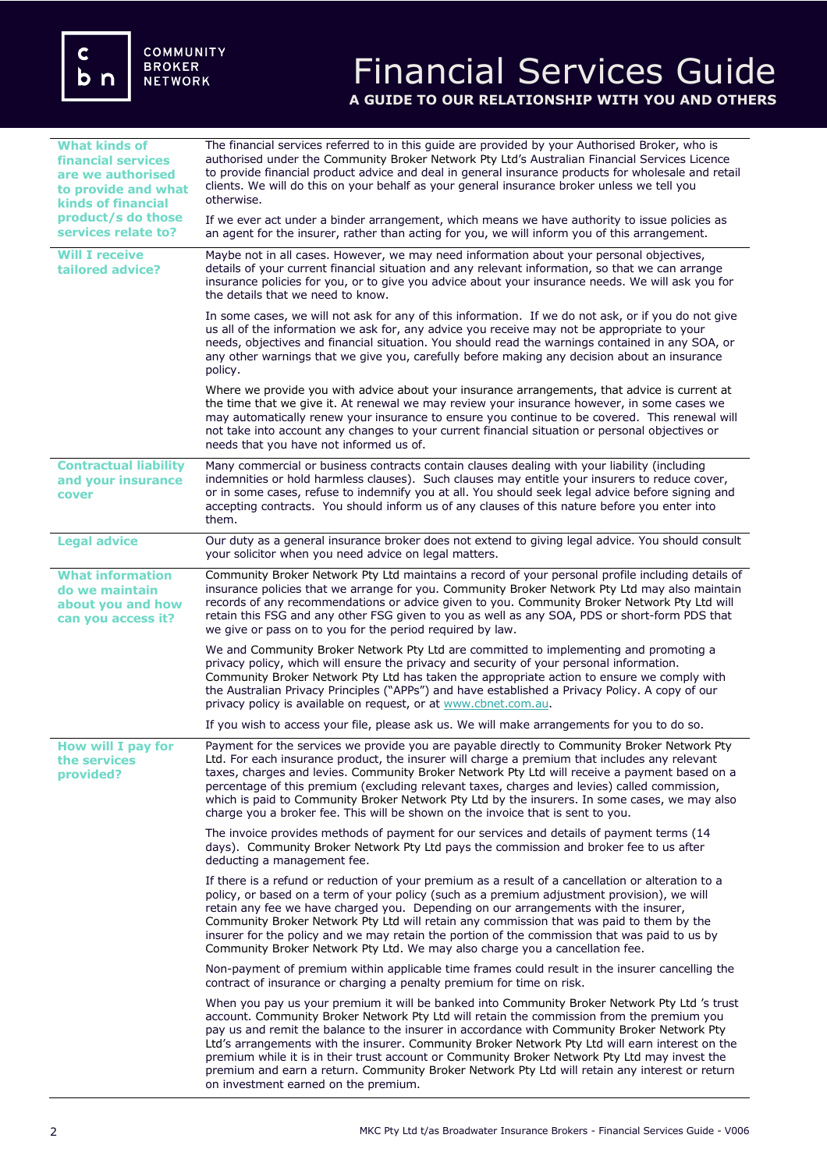# Financial Services Guide **A GUIDE TO OUR RELATIONSHIP WITH YOU AND OTHERS**

| <b>What kinds of</b><br>financial services<br>are we authorised<br>to provide and what<br><b>kinds of financial</b> | The financial services referred to in this guide are provided by your Authorised Broker, who is<br>authorised under the Community Broker Network Pty Ltd's Australian Financial Services Licence<br>to provide financial product advice and deal in general insurance products for wholesale and retail<br>clients. We will do this on your behalf as your general insurance broker unless we tell you<br>otherwise.                                                                                                                                                                                                                    |
|---------------------------------------------------------------------------------------------------------------------|-----------------------------------------------------------------------------------------------------------------------------------------------------------------------------------------------------------------------------------------------------------------------------------------------------------------------------------------------------------------------------------------------------------------------------------------------------------------------------------------------------------------------------------------------------------------------------------------------------------------------------------------|
| product/s do those<br>services relate to?                                                                           | If we ever act under a binder arrangement, which means we have authority to issue policies as<br>an agent for the insurer, rather than acting for you, we will inform you of this arrangement.                                                                                                                                                                                                                                                                                                                                                                                                                                          |
| <b>Will I receive</b><br>tailored advice?                                                                           | Maybe not in all cases. However, we may need information about your personal objectives,<br>details of your current financial situation and any relevant information, so that we can arrange<br>insurance policies for you, or to give you advice about your insurance needs. We will ask you for<br>the details that we need to know.                                                                                                                                                                                                                                                                                                  |
|                                                                                                                     | In some cases, we will not ask for any of this information. If we do not ask, or if you do not give<br>us all of the information we ask for, any advice you receive may not be appropriate to your<br>needs, objectives and financial situation. You should read the warnings contained in any SOA, or<br>any other warnings that we give you, carefully before making any decision about an insurance<br>policy.                                                                                                                                                                                                                       |
|                                                                                                                     | Where we provide you with advice about your insurance arrangements, that advice is current at<br>the time that we give it. At renewal we may review your insurance however, in some cases we<br>may automatically renew your insurance to ensure you continue to be covered. This renewal will<br>not take into account any changes to your current financial situation or personal objectives or<br>needs that you have not informed us of.                                                                                                                                                                                            |
| <b>Contractual liability</b><br>and your insurance<br>cover                                                         | Many commercial or business contracts contain clauses dealing with your liability (including<br>indemnities or hold harmless clauses). Such clauses may entitle your insurers to reduce cover,<br>or in some cases, refuse to indemnify you at all. You should seek legal advice before signing and<br>accepting contracts. You should inform us of any clauses of this nature before you enter into<br>them.                                                                                                                                                                                                                           |
| <b>Legal advice</b>                                                                                                 | Our duty as a general insurance broker does not extend to giving legal advice. You should consult<br>your solicitor when you need advice on legal matters.                                                                                                                                                                                                                                                                                                                                                                                                                                                                              |
| <b>What information</b><br>do we maintain<br>about you and how<br>can you access it?                                | Community Broker Network Pty Ltd maintains a record of your personal profile including details of<br>insurance policies that we arrange for you. Community Broker Network Pty Ltd may also maintain<br>records of any recommendations or advice given to you. Community Broker Network Pty Ltd will<br>retain this FSG and any other FSG given to you as well as any SOA, PDS or short-form PDS that<br>we give or pass on to you for the period required by law.                                                                                                                                                                       |
|                                                                                                                     | We and Community Broker Network Pty Ltd are committed to implementing and promoting a<br>privacy policy, which will ensure the privacy and security of your personal information.<br>Community Broker Network Pty Ltd has taken the appropriate action to ensure we comply with<br>the Australian Privacy Principles ("APPs") and have established a Privacy Policy. A copy of our<br>privacy policy is available on request, or at www.cbnet.com.au.                                                                                                                                                                                   |
|                                                                                                                     | If you wish to access your file, please ask us. We will make arrangements for you to do so.                                                                                                                                                                                                                                                                                                                                                                                                                                                                                                                                             |
| <b>How will I pay for</b><br>the services<br>provided?                                                              | Payment for the services we provide you are payable directly to Community Broker Network Pty<br>Ltd. For each insurance product, the insurer will charge a premium that includes any relevant<br>taxes, charges and levies. Community Broker Network Pty Ltd will receive a payment based on a<br>percentage of this premium (excluding relevant taxes, charges and levies) called commission,<br>which is paid to Community Broker Network Pty Ltd by the insurers. In some cases, we may also<br>charge you a broker fee. This will be shown on the invoice that is sent to you.                                                      |
|                                                                                                                     | The invoice provides methods of payment for our services and details of payment terms (14<br>days). Community Broker Network Pty Ltd pays the commission and broker fee to us after<br>deducting a management fee.                                                                                                                                                                                                                                                                                                                                                                                                                      |
|                                                                                                                     | If there is a refund or reduction of your premium as a result of a cancellation or alteration to a<br>policy, or based on a term of your policy (such as a premium adjustment provision), we will<br>retain any fee we have charged you. Depending on our arrangements with the insurer,<br>Community Broker Network Pty Ltd will retain any commission that was paid to them by the<br>insurer for the policy and we may retain the portion of the commission that was paid to us by<br>Community Broker Network Pty Ltd. We may also charge you a cancellation fee.                                                                   |
|                                                                                                                     | Non-payment of premium within applicable time frames could result in the insurer cancelling the<br>contract of insurance or charging a penalty premium for time on risk.                                                                                                                                                                                                                                                                                                                                                                                                                                                                |
|                                                                                                                     | When you pay us your premium it will be banked into Community Broker Network Pty Ltd 's trust<br>account. Community Broker Network Pty Ltd will retain the commission from the premium you<br>pay us and remit the balance to the insurer in accordance with Community Broker Network Pty<br>Ltd's arrangements with the insurer. Community Broker Network Pty Ltd will earn interest on the<br>premium while it is in their trust account or Community Broker Network Pty Ltd may invest the<br>premium and earn a return. Community Broker Network Pty Ltd will retain any interest or return<br>on investment earned on the premium. |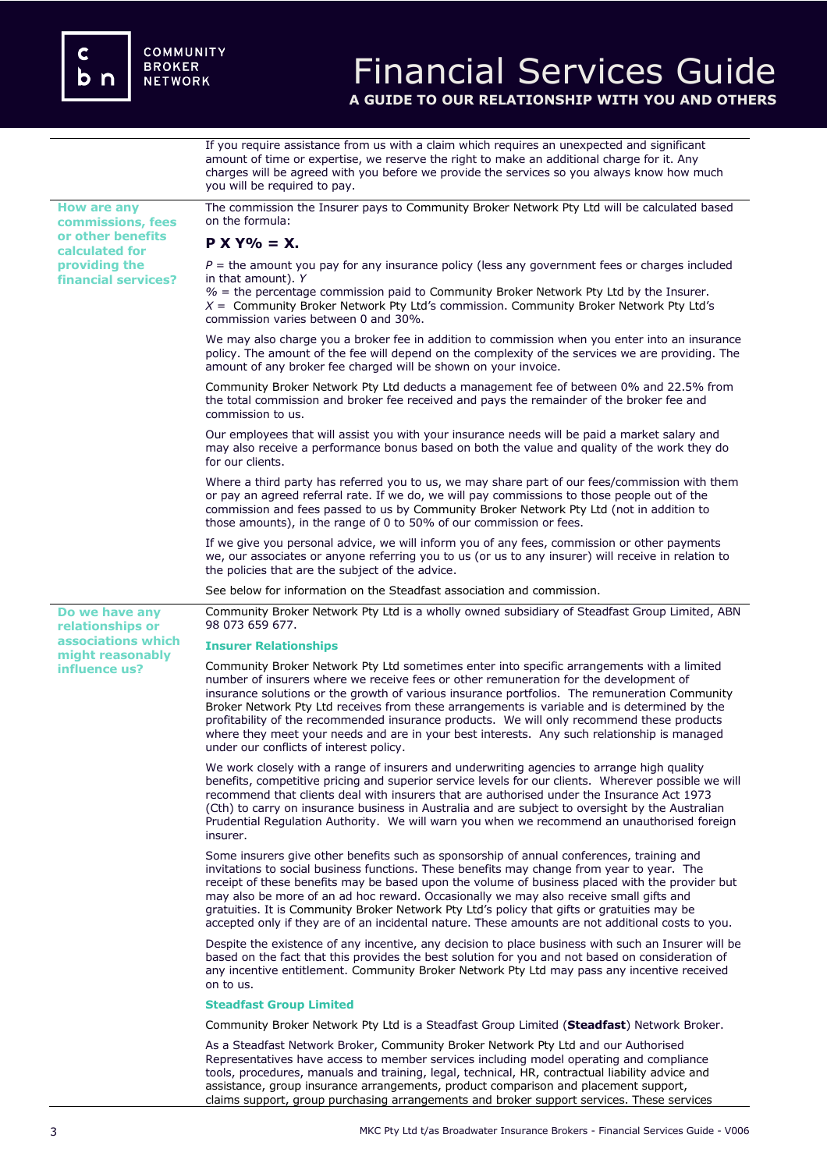

# Financial Services Guide

**A GUIDE TO OUR RELATIONSHIP WITH YOU AND OTHERS**

If you require assistance from us with a claim which requires an unexpected and significant amount of time or expertise, we reserve the right to make an additional charge for it. Any charges will be agreed with you before we provide the services so you always know how much you will be required to pay.

**How are any commissions, fees or other benefits calculated for providing the financial services?**

**Do we have any relationships or associations which might reasonably influence us?** 

The commission the Insurer pays to Community Broker Network Pty Ltd will be calculated based on the formula:

# $P X Y\% = X$ .

 $P =$  the amount you pay for any insurance policy (less any government fees or charges included in that amount). *Y*

*%* = the percentage commission paid to Community Broker Network Pty Ltd by the Insurer. *X* = Community Broker Network Pty Ltd's commission. Community Broker Network Pty Ltd's commission varies between 0 and 30%.

We may also charge you a broker fee in addition to commission when you enter into an insurance policy. The amount of the fee will depend on the complexity of the services we are providing. The amount of any broker fee charged will be shown on your invoice.

Community Broker Network Pty Ltd deducts a management fee of between 0% and 22.5% from the total commission and broker fee received and pays the remainder of the broker fee and commission to us.

Our employees that will assist you with your insurance needs will be paid a market salary and may also receive a performance bonus based on both the value and quality of the work they do for our clients.

Where a third party has referred you to us, we may share part of our fees/commission with them or pay an agreed referral rate. If we do, we will pay commissions to those people out of the commission and fees passed to us by Community Broker Network Pty Ltd (not in addition to those amounts), in the range of 0 to 50% of our commission or fees.

If we give you personal advice, we will inform you of any fees, commission or other payments we, our associates or anyone referring you to us (or us to any insurer) will receive in relation to the policies that are the subject of the advice.

See below for information on the Steadfast association and commission.

Community Broker Network Pty Ltd is a wholly owned subsidiary of Steadfast Group Limited, ABN 98 073 659 677.

#### **Insurer Relationships**

Community Broker Network Pty Ltd sometimes enter into specific arrangements with a limited number of insurers where we receive fees or other remuneration for the development of insurance solutions or the growth of various insurance portfolios. The remuneration Community Broker Network Pty Ltd receives from these arrangements is variable and is determined by the profitability of the recommended insurance products. We will only recommend these products where they meet your needs and are in your best interests. Any such relationship is managed under our conflicts of interest policy.

We work closely with a range of insurers and underwriting agencies to arrange high quality benefits, competitive pricing and superior service levels for our clients. Wherever possible we will recommend that clients deal with insurers that are authorised under the Insurance Act 1973 (Cth) to carry on insurance business in Australia and are subject to oversight by the Australian Prudential Regulation Authority. We will warn you when we recommend an unauthorised foreign insurer.

Some insurers give other benefits such as sponsorship of annual conferences, training and invitations to social business functions. These benefits may change from year to year. The receipt of these benefits may be based upon the volume of business placed with the provider but may also be more of an ad hoc reward. Occasionally we may also receive small gifts and gratuities. It is Community Broker Network Pty Ltd's policy that gifts or gratuities may be accepted only if they are of an incidental nature. These amounts are not additional costs to you.

Despite the existence of any incentive, any decision to place business with such an Insurer will be based on the fact that this provides the best solution for you and not based on consideration of any incentive entitlement. Community Broker Network Pty Ltd may pass any incentive received on to us.

#### **Steadfast Group Limited**

Community Broker Network Pty Ltd is a Steadfast Group Limited (**Steadfast**) Network Broker.

As a Steadfast Network Broker, Community Broker Network Pty Ltd and our Authorised Representatives have access to member services including model operating and compliance tools, procedures, manuals and training, legal, technical, HR, contractual liability advice and assistance, group insurance arrangements, product comparison and placement support, claims support, group purchasing arrangements and broker support services. These services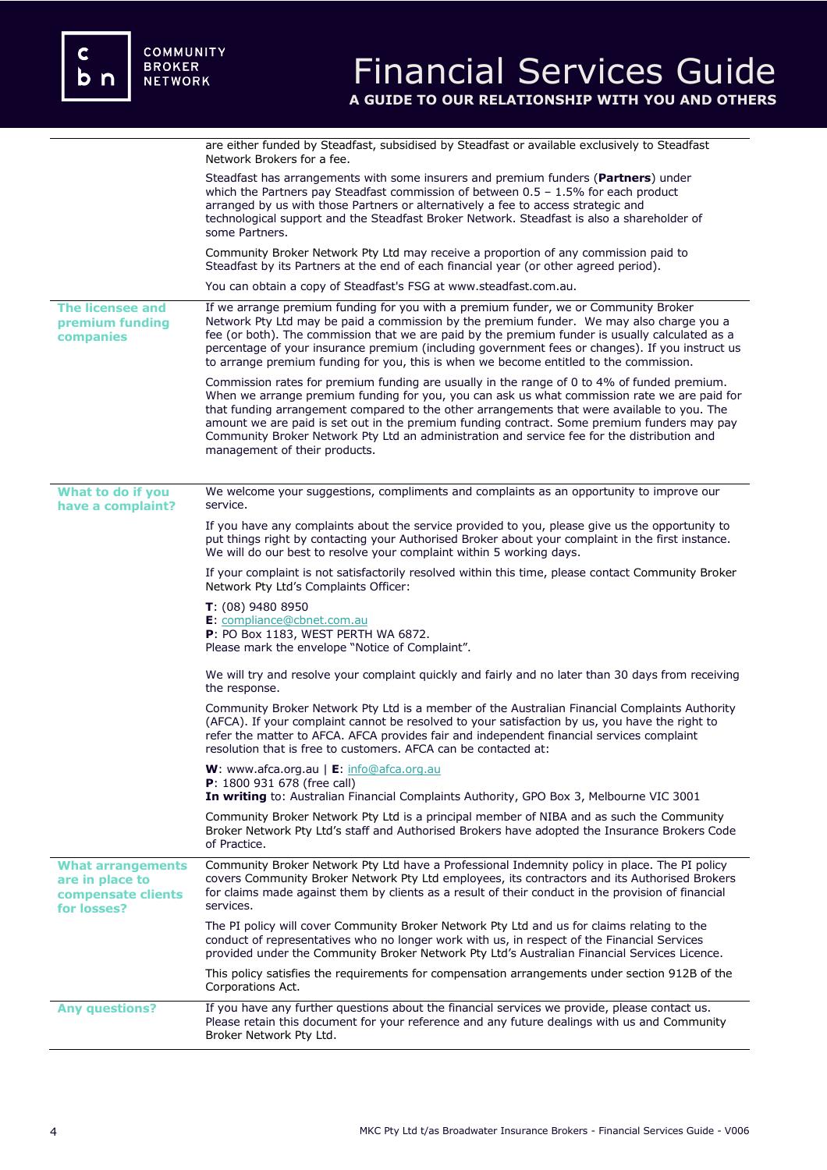|                                                                                  | are either funded by Steadfast, subsidised by Steadfast or available exclusively to Steadfast<br>Network Brokers for a fee.                                                                                                                                                                                                                                                                                                                                                                                               |
|----------------------------------------------------------------------------------|---------------------------------------------------------------------------------------------------------------------------------------------------------------------------------------------------------------------------------------------------------------------------------------------------------------------------------------------------------------------------------------------------------------------------------------------------------------------------------------------------------------------------|
|                                                                                  | Steadfast has arrangements with some insurers and premium funders (Partners) under<br>which the Partners pay Steadfast commission of between $0.5 - 1.5%$ for each product<br>arranged by us with those Partners or alternatively a fee to access strategic and<br>technological support and the Steadfast Broker Network. Steadfast is also a shareholder of<br>some Partners.                                                                                                                                           |
|                                                                                  | Community Broker Network Pty Ltd may receive a proportion of any commission paid to<br>Steadfast by its Partners at the end of each financial year (or other agreed period).                                                                                                                                                                                                                                                                                                                                              |
|                                                                                  | You can obtain a copy of Steadfast's FSG at www.steadfast.com.au.                                                                                                                                                                                                                                                                                                                                                                                                                                                         |
| <b>The licensee and</b><br>premium funding<br>companies                          | If we arrange premium funding for you with a premium funder, we or Community Broker<br>Network Pty Ltd may be paid a commission by the premium funder. We may also charge you a<br>fee (or both). The commission that we are paid by the premium funder is usually calculated as a<br>percentage of your insurance premium (including government fees or changes). If you instruct us<br>to arrange premium funding for you, this is when we become entitled to the commission.                                           |
|                                                                                  | Commission rates for premium funding are usually in the range of 0 to 4% of funded premium.<br>When we arrange premium funding for you, you can ask us what commission rate we are paid for<br>that funding arrangement compared to the other arrangements that were available to you. The<br>amount we are paid is set out in the premium funding contract. Some premium funders may pay<br>Community Broker Network Pty Ltd an administration and service fee for the distribution and<br>management of their products. |
| What to do if you<br>have a complaint?                                           | We welcome your suggestions, compliments and complaints as an opportunity to improve our<br>service.                                                                                                                                                                                                                                                                                                                                                                                                                      |
|                                                                                  | If you have any complaints about the service provided to you, please give us the opportunity to<br>put things right by contacting your Authorised Broker about your complaint in the first instance.<br>We will do our best to resolve your complaint within 5 working days.                                                                                                                                                                                                                                              |
|                                                                                  | If your complaint is not satisfactorily resolved within this time, please contact Community Broker<br>Network Pty Ltd's Complaints Officer:                                                                                                                                                                                                                                                                                                                                                                               |
|                                                                                  | $T: (08)$ 9480 8950<br>E: compliance@cbnet.com.au<br>P: PO Box 1183, WEST PERTH WA 6872.<br>Please mark the envelope "Notice of Complaint".                                                                                                                                                                                                                                                                                                                                                                               |
|                                                                                  | We will try and resolve your complaint quickly and fairly and no later than 30 days from receiving<br>the response.                                                                                                                                                                                                                                                                                                                                                                                                       |
|                                                                                  | Community Broker Network Pty Ltd is a member of the Australian Financial Complaints Authority<br>(AFCA). If your complaint cannot be resolved to your satisfaction by us, you have the right to<br>refer the matter to AFCA. AFCA provides fair and independent financial services complaint<br>resolution that is free to customers. AFCA can be contacted at:                                                                                                                                                           |
|                                                                                  | <b>W</b> : www.afca.org.au $\mid$ <b>E</b> : info@afca.org.au<br><b>P</b> : 1800 931 678 (free call)<br>In writing to: Australian Financial Complaints Authority, GPO Box 3, Melbourne VIC 3001                                                                                                                                                                                                                                                                                                                           |
|                                                                                  | Community Broker Network Pty Ltd is a principal member of NIBA and as such the Community<br>Broker Network Pty Ltd's staff and Authorised Brokers have adopted the Insurance Brokers Code<br>of Practice.                                                                                                                                                                                                                                                                                                                 |
| <b>What arrangements</b><br>are in place to<br>compensate clients<br>for losses? | Community Broker Network Pty Ltd have a Professional Indemnity policy in place. The PI policy<br>covers Community Broker Network Pty Ltd employees, its contractors and its Authorised Brokers<br>for claims made against them by clients as a result of their conduct in the provision of financial<br>services.                                                                                                                                                                                                         |
|                                                                                  | The PI policy will cover Community Broker Network Pty Ltd and us for claims relating to the<br>conduct of representatives who no longer work with us, in respect of the Financial Services<br>provided under the Community Broker Network Pty Ltd's Australian Financial Services Licence.                                                                                                                                                                                                                                |
|                                                                                  | This policy satisfies the requirements for compensation arrangements under section 912B of the<br>Corporations Act.                                                                                                                                                                                                                                                                                                                                                                                                       |
| <b>Any questions?</b>                                                            | If you have any further questions about the financial services we provide, please contact us.<br>Please retain this document for your reference and any future dealings with us and Community<br>Broker Network Pty Ltd.                                                                                                                                                                                                                                                                                                  |